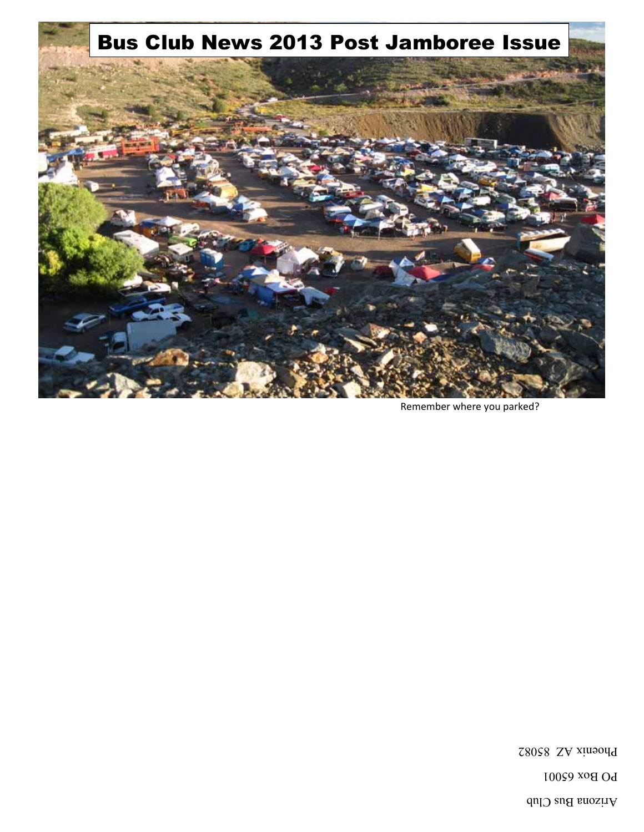Arizona Bus Club

**PO Box 65001** 

Phoenix AZ 85082



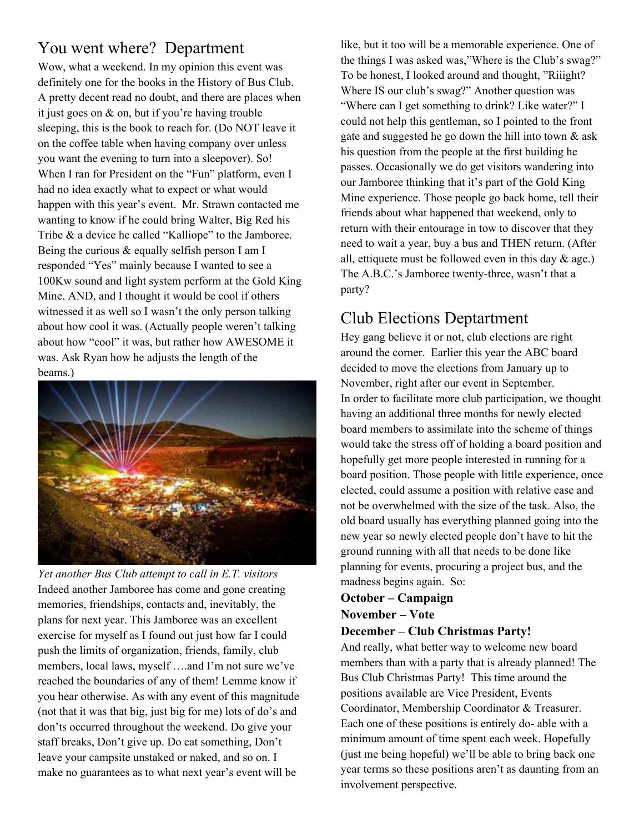# You went where? Department

Wow, what a weekend. In my opinion this event was definitely one for the books in the History of Bus Club. A pretty decent read no doubt, and there are places when it just goes on & on, but if you're having trouble sleeping, this is the book to reach for. (Do NOT leave it on the coffee table when having company over unless you want the evening to turn into a sleepover). So! When I ran for President on the "Fun" platform, even I had no idea exactly what to expect or what would happen with this year's event. Mr. Strawn contacted me wanting to know if he could bring Walter, Big Red his Tribe & a device he called "Kalliope" to the Jamboree. Being the curious & equally selfish person I am I responded "Yes" mainly because I wanted to see a 100Kw sound and light system perform at the Gold King Mine, AND, and I thought it would be cool if others witnessed it as well so I wasn't the only person talking about how cool it was. (Actually people weren't talking about how "cool" it was, but rather how AWESOME it was. Ask Ryan how he adjusts the length of the beams.)



*Yet another Bus Club attempt to call in E.T. visitors*  Indeed another Jamboree has come and gone creating memories, friendships, contacts and, inevitably, the plans for next year. This Jamboree was an excellent exercise for myself as I found out just how far I could push the limits of organization, friends, family, club members, local laws, myself ….and I'm not sure we've reached the boundaries of any of them! Lemme know if you hear otherwise. As with any event of this magnitude (not that it was that big, just big for me) lots of do's and don'ts occurred throughout the weekend. Do give your staff breaks, Don't give up. Do eat something, Don't leave your campsite unstaked or naked, and so on. I make no guarantees as to what next year's event will be

like, but it too will be a memorable experience. One of the things I was asked was,"Where is the Club's swag?" To be honest, I looked around and thought, "Riiight? Where IS our club's swag?" Another question was "Where can I get something to drink? Like water?" I could not help this gentleman, so I pointed to the front gate and suggested he go down the hill into town & ask his question from the people at the first building he passes. Occasionally we do get visitors wandering into our Jamboree thinking that it's part of the Gold King Mine experience. Those people go back home, tell their friends about what happened that weekend, only to return with their entourage in tow to discover that they need to wait a year, buy a bus and THEN return. (After all, ettiquete must be followed even in this day  $\&$  age.) The A.B.C.'s Jamboree twenty-three, wasn't that a party?

# Club Elections Deptartment

Hey gang believe it or not, club elections are right around the corner. Earlier this year the ABC board decided to move the elections from January up to November, right after our event in September. In order to facilitate more club participation, we thought having an additional three months for newly elected board members to assimilate into the scheme of things would take the stress off of holding a board position and hopefully get more people interested in running for a board position. Those people with little experience, once elected, could assume a position with relative ease and not be overwhelmed with the size of the task. Also, the old board usually has everything planned going into the new year so newly elected people don't have to hit the ground running with all that needs to be done like planning for events, procuring a project bus, and the madness begins again. So:

### **October – Campaign November – Vote**

### **December – Club Christmas Party!**

And really, what better way to welcome new board members than with a party that is already planned! The Bus Club Christmas Party! This time around the positions available are Vice President, Events Coordinator, Membership Coordinator & Treasurer. Each one of these positions is entirely do- able with a minimum amount of time spent each week. Hopefully (just me being hopeful) we'll be able to bring back one year terms so these positions aren't as daunting from an involvement perspective.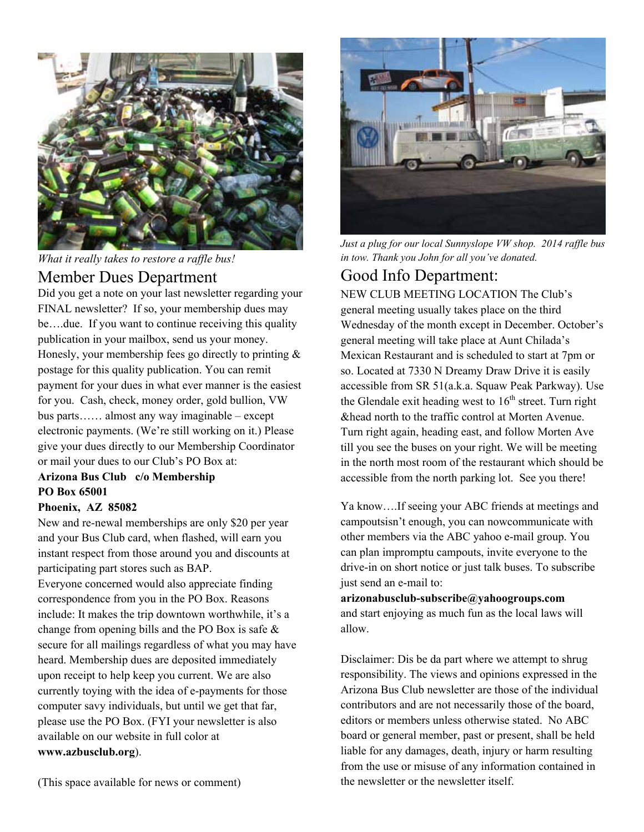

*What it really takes to restore a raffle bus!* 

### Member Dues Department

Did you get a note on your last newsletter regarding your FINAL newsletter? If so, your membership dues may be….due. If you want to continue receiving this quality publication in your mailbox, send us your money. Honesly, your membership fees go directly to printing  $\&$ postage for this quality publication. You can remit payment for your dues in what ever manner is the easiest for you. Cash, check, money order, gold bullion, VW bus parts…… almost any way imaginable – except electronic payments. (We're still working on it.) Please give your dues directly to our Membership Coordinator or mail your dues to our Club's PO Box at:

### **Arizona Bus Club c/o Membership PO Box 65001**

#### **Phoenix, AZ 85082**

New and re-newal memberships are only \$20 per year and your Bus Club card, when flashed, will earn you instant respect from those around you and discounts at participating part stores such as BAP.

Everyone concerned would also appreciate finding correspondence from you in the PO Box. Reasons include: It makes the trip downtown worthwhile, it's a change from opening bills and the PO Box is safe & secure for all mailings regardless of what you may have heard. Membership dues are deposited immediately upon receipt to help keep you current. We are also currently toying with the idea of e-payments for those computer savy individuals, but until we get that far, please use the PO Box. (FYI your newsletter is also available on our website in full color at **www.azbusclub.org**).



*Just a plug for our local Sunnyslope VW shop. 2014 raffle bus in tow. Thank you John for all you've donated.* 

## Good Info Department:

NEW CLUB MEETING LOCATION The Club's general meeting usually takes place on the third Wednesday of the month except in December. October's general meeting will take place at Aunt Chilada's Mexican Restaurant and is scheduled to start at 7pm or so. Located at 7330 N Dreamy Draw Drive it is easily accessible from SR 51(a.k.a. Squaw Peak Parkway). Use the Glendale exit heading west to  $16<sup>th</sup>$  street. Turn right &head north to the traffic control at Morten Avenue. Turn right again, heading east, and follow Morten Ave till you see the buses on your right. We will be meeting in the north most room of the restaurant which should be accessible from the north parking lot. See you there!

Ya know….If seeing your ABC friends at meetings and campoutsisn't enough, you can nowcommunicate with other members via the ABC yahoo e-mail group. You can plan impromptu campouts, invite everyone to the drive-in on short notice or just talk buses. To subscribe just send an e-mail to:

**arizonabusclub-subscribe@yahoogroups.com**  and start enjoying as much fun as the local laws will allow.

Disclaimer: Dis be da part where we attempt to shrug responsibility. The views and opinions expressed in the Arizona Bus Club newsletter are those of the individual contributors and are not necessarily those of the board, editors or members unless otherwise stated. No ABC board or general member, past or present, shall be held liable for any damages, death, injury or harm resulting from the use or misuse of any information contained in the newsletter or the newsletter itself.

(This space available for news or comment)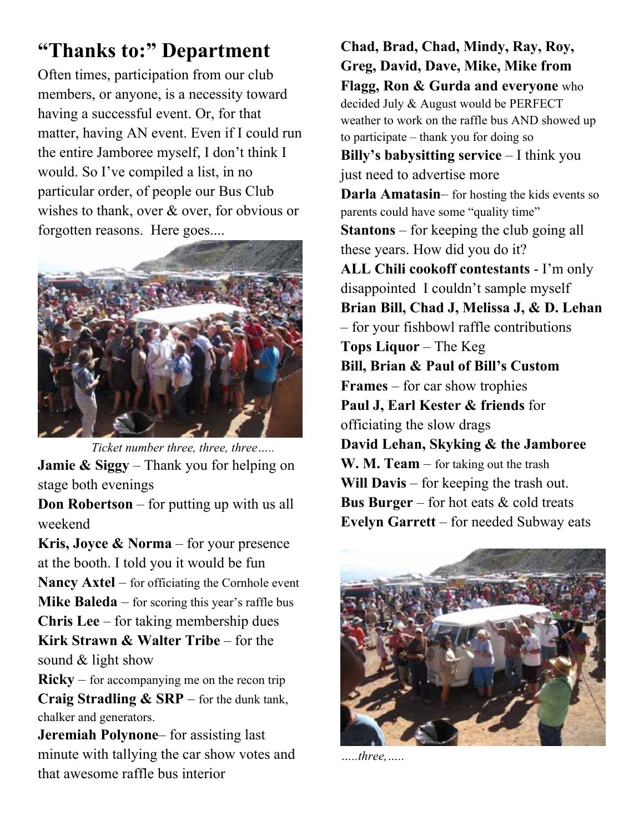# **"Thanks to:" Department**

Often times, participation from our club members, or anyone, is a necessity toward having a successful event. Or, for that matter, having AN event. Even if I could run the entire Jamboree myself, I don't think I would. So I've compiled a list, in no particular order, of people our Bus Club wishes to thank, over  $\&$  over, for obvious or forgotten reasons. Here goes....



 *Ticket number three, three, three…..*  **Jamie & Siggy** – Thank you for helping on stage both evenings

**Don Robertson** – for putting up with us all weekend

**Kris, Joyce & Norma** – for your presence at the booth. I told you it would be fun **Nancy Axtel** – for officiating the Cornhole event **Mike Baleda** – for scoring this year's raffle bus **Chris Lee** – for taking membership dues **Kirk Strawn & Walter Tribe** – for the sound & light show

 $Ricky - for accompanying me on the recon trip$ **Craig Stradling & SRP** – for the dunk tank, chalker and generators.

**Jeremiah Polynone**– for assisting last minute with tallying the car show votes and that awesome raffle bus interior

**Chad, Brad, Chad, Mindy, Ray, Roy, Greg, David, Dave, Mike, Mike from Flagg, Ron & Gurda and everyone** who decided July & August would be PERFECT weather to work on the raffle bus AND showed up to participate – thank you for doing so **Billy's babysitting service** – I think you just need to advertise more **Darla Amatasin**– for hosting the kids events so parents could have some "quality time" **Stantons** – for keeping the club going all these years. How did you do it? **ALL Chili cookoff contestants** - I'm only disappointed I couldn't sample myself **Brian Bill, Chad J, Melissa J, & D. Lehan** – for your fishbowl raffle contributions **Tops Liquor** – The Keg **Bill, Brian & Paul of Bill's Custom Frames** – for car show trophies **Paul J, Earl Kester & friends** for officiating the slow drags **David Lehan, Skyking & the Jamboree W. M. Team** – for taking out the trash **Will Davis** – for keeping the trash out. **Bus Burger** – for hot eats & cold treats **Evelyn Garrett** – for needed Subway eats



*…..three,…..*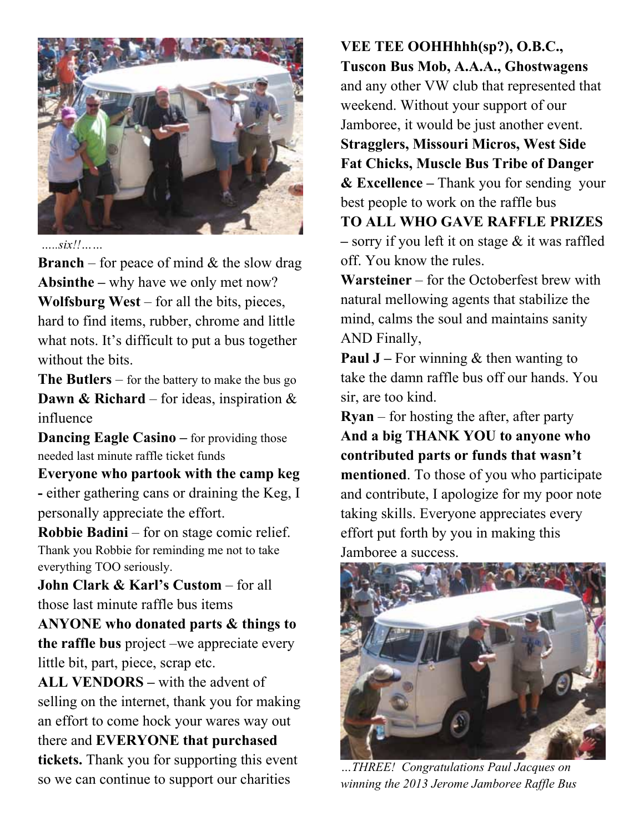

 $\frac{g_{xx}}{g_{xx}}$ 

**Branch** – for peace of mind  $\&$  the slow drag **Absinthe –** why have we only met now? **Wolfsburg West** – for all the bits, pieces, hard to find items, rubber, chrome and little what nots. It's difficult to put a bus together without the bits.

**The Butlers** – for the battery to make the bus go **Dawn & Richard** – for ideas, inspiration & influence

**Dancing Eagle Casino** – for providing those needed last minute raffle ticket funds

**Everyone who partook with the camp keg -** either gathering cans or draining the Keg, I personally appreciate the effort.

**Robbie Badini** – for on stage comic relief. Thank you Robbie for reminding me not to take everything TOO seriously.

**John Clark & Karl's Custom** – for all those last minute raffle bus items

**ANYONE who donated parts & things to the raffle bus** project –we appreciate every little bit, part, piece, scrap etc.

**ALL VENDORS –** with the advent of selling on the internet, thank you for making an effort to come hock your wares way out there and **EVERYONE that purchased tickets.** Thank you for supporting this event so we can continue to support our charities

**VEE TEE OOHHhhh(sp?), O.B.C., Tuscon Bus Mob, A.A.A., Ghostwagens** and any other VW club that represented that weekend. Without your support of our Jamboree, it would be just another event. **Stragglers, Missouri Micros, West Side Fat Chicks, Muscle Bus Tribe of Danger & Excellence –** Thank you for sending your best people to work on the raffle bus **TO ALL WHO GAVE RAFFLE PRIZES –** sorry if you left it on stage & it was raffled off. You know the rules.

**Warsteiner** – for the Octoberfest brew with natural mellowing agents that stabilize the mind, calms the soul and maintains sanity AND Finally,

**Paul J** – For winning & then wanting to take the damn raffle bus off our hands. You sir, are too kind.

**Ryan** – for hosting the after, after party **And a big THANK YOU to anyone who contributed parts or funds that wasn't mentioned**. To those of you who participate and contribute, I apologize for my poor note taking skills. Everyone appreciates every effort put forth by you in making this Jamboree a success.



*…THREE! Congratulations Paul Jacques on winning the 2013 Jerome Jamboree Raffle Bus*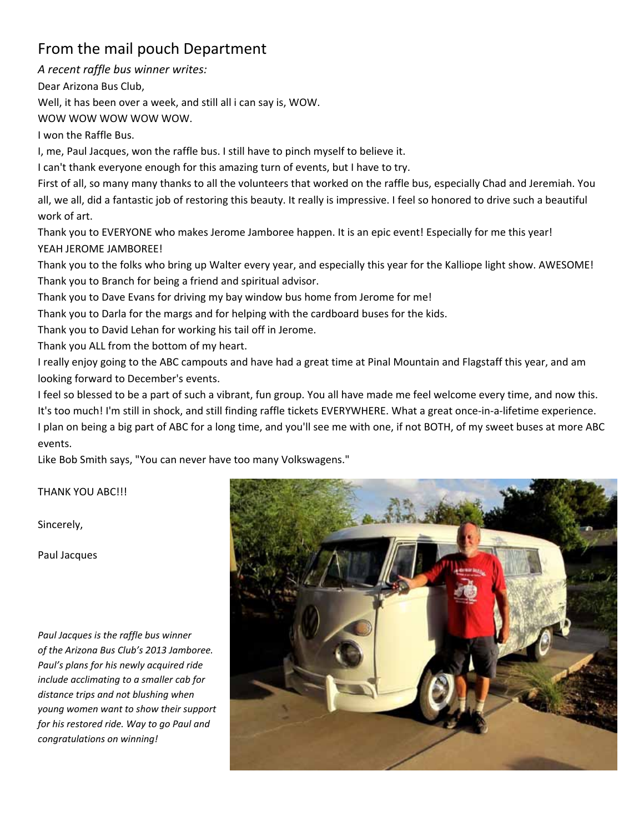# From the mail pouch Department

*A recent raffle bus winner writes:* 

Dear Arizona Bus Club,

Well, it has been over a week, and still all i can say is, WOW.

WOW WOW WOW WOW WOW.

I won the Raffle Bus.

I, me, Paul Jacques, won the raffle bus. I still have to pinch myself to believe it.

I can't thank everyone enough for this amazing turn of events, but I have to try.

First of all, so many many thanks to all the volunteers that worked on the raffle bus, especially Chad and Jeremiah. You all, we all, did a fantastic job of restoring this beauty. It really is impressive. I feel so honored to drive such a beautiful work of art.

Thank you to EVERYONE who makes Jerome Jamboree happen. It is an epic event! Especially for me this year! YEAH JEROME JAMBOREE!

Thank you to the folks who bring up Walter every year, and especially this year for the Kalliope light show. AWESOME! Thank you to Branch for being a friend and spiritual advisor.

Thank you to Dave Evans for driving my bay window bus home from Jerome for me!

Thank you to Darla for the margs and for helping with the cardboard buses for the kids.

Thank you to David Lehan for working his tail off in Jerome.

Thank you ALL from the bottom of my heart.

I really enjoy going to the ABC campouts and have had a great time at Pinal Mountain and Flagstaff this year, and am looking forward to December's events.

I feel so blessed to be a part of such a vibrant, fun group. You all have made me feel welcome every time, and now this. It's too much! I'm still in shock, and still finding raffle tickets EVERYWHERE. What a great once-in-a-lifetime experience. I plan on being a big part of ABC for a long time, and you'll see me with one, if not BOTH, of my sweet buses at more ABC events.

Like Bob Smith says, "You can never have too many Volkswagens."

THANK YOU ABC!!!

Sincerely,

Paul Jacques

*Paul Jacques is the raffle bus winner of the Arizona Bus Club's 2013 Jamboree. Paul's plans for his newly acquired ride include acclimating to a smaller cab for distance trips and not blushing when young women want to show their support for his restored ride. Way to go Paul and congratulations on winning!* 

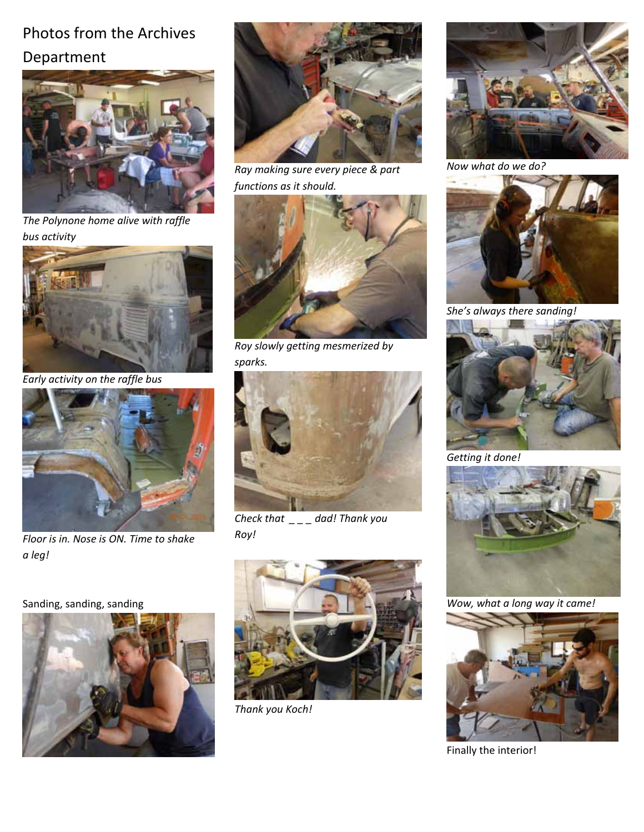# Photos from the Archives Department



*The Polynone home alive with raffle bus activity* 



*Early activity on the raffle bus* 



*Floor is in. Nose is ON. Time to shake a leg!*

### Sanding, sanding, sanding





*Ray making sure every piece & part functions as it should.*



*Roy slowly getting mesmerized by sparks.*



*Check that \_ \_ \_ dad! Thank you Roy!*



*Thank you Koch!* 



*Now what do we do?* 



*She's always there sanding!*



*Getting it done!*



*Wow, what a long way it came!*



Finally the interior!